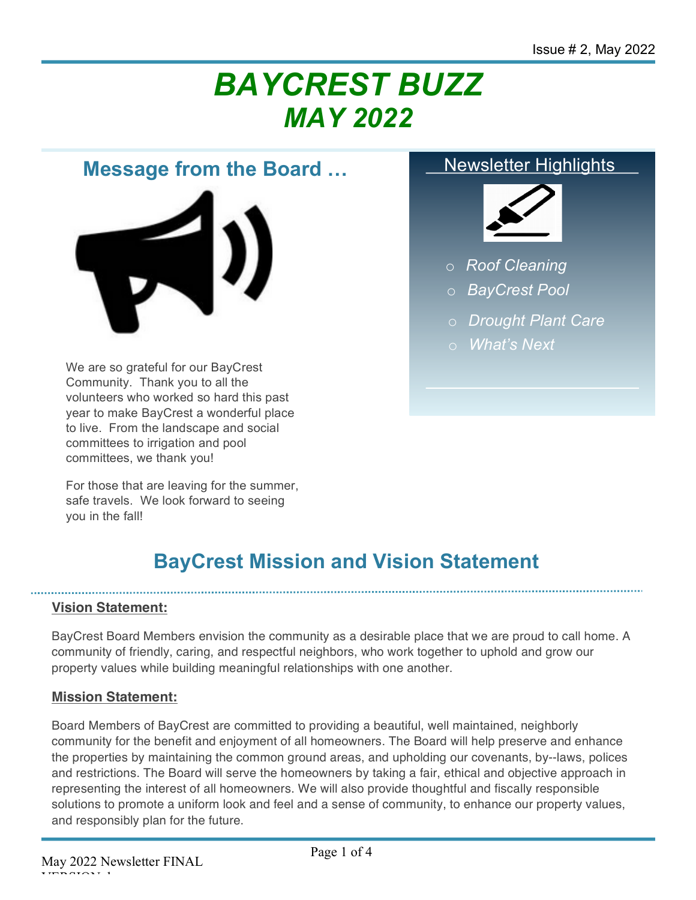# *BAYCREST BUZZ MAY 2022*

## **Message from the Board …**



We are so grateful for our BayCrest Community. Thank you to all the volunteers who worked so hard this past year to make BayCrest a wonderful place to live. From the landscape and social committees to irrigation and pool committees, we thank you!

For those that are leaving for the summer, safe travels. We look forward to seeing you in the fall!

#### Newsletter Highlights



- o *Roof Cleaning*
- o *BayCrest Pool*
- o *Drought Plant Care*
- o o *What's Next*

# **BayCrest Mission and Vision Statement**

#### **Vision Statement:**

BayCrest Board Members envision the community as a desirable place that we are proud to call home. A community of friendly, caring, and respectful neighbors, who work together to uphold and grow our property values while building meaningful relationships with one another.

#### **Mission Statement:**

Board Members of BayCrest are committed to providing a beautiful, well maintained, neighborly community for the benefit and enjoyment of all homeowners. The Board will help preserve and enhance the properties by maintaining the common ground areas, and upholding our covenants, by-‐laws, polices and restrictions. The Board will serve the homeowners by taking a fair, ethical and objective approach in representing the interest of all homeowners. We will also provide thoughtful and fiscally responsible solutions to promote a uniform look and feel and a sense of community, to enhance our property values, and responsibly plan for the future.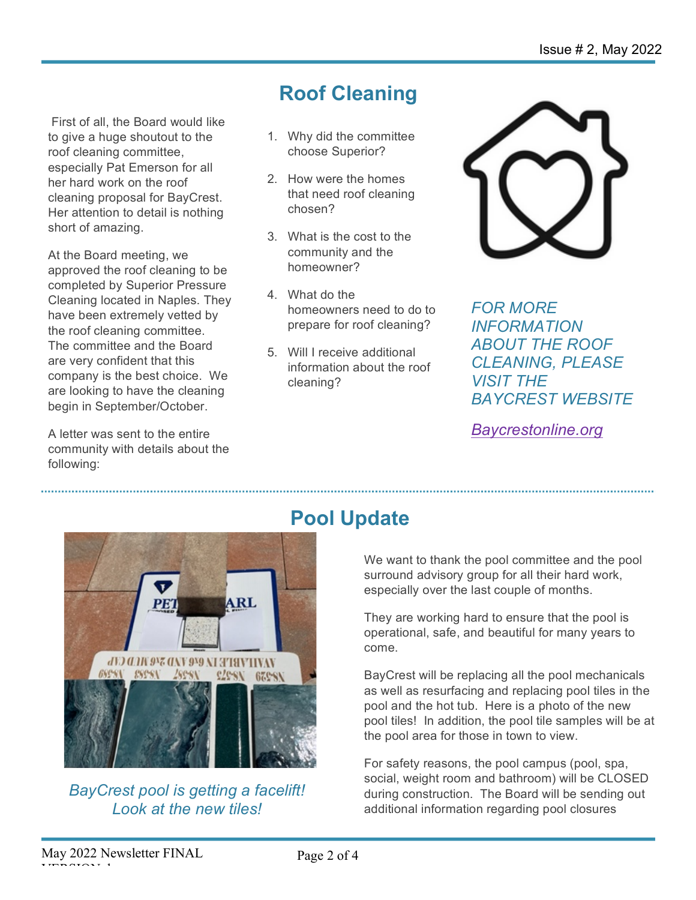First of all, the Board would like to give a huge shoutout to the roof cleaning committee, especially Pat Emerson for all her hard work on the roof cleaning proposal for BayCrest. Her attention to detail is nothing short of amazing.

At the Board meeting, we approved the roof cleaning to be completed by Superior Pressure Cleaning located in Naples. They have been extremely vetted by the roof cleaning committee. The committee and the Board are very confident that this company is the best choice. We are looking to have the cleaning begin in September/October.

A letter was sent to the entire community with details about the following:

# **Roof Cleaning**

- 1. Why did the committee choose Superior?
- 2. How were the homes that need roof cleaning chosen?
- 3. What is the cost to the community and the homeowner?
- 4. What do the homeowners need to do to prepare for roof cleaning?
- 5. Will I receive additional information about the roof cleaning?



*FOR MORE INFORMATION ABOUT THE ROOF CLEANING, PLEASE VISIT THE BAYCREST WEBSITE*

*Baycrestonline.org*



*BayCrest pool is getting a facelift! Look at the new tiles!*

# **Pool Update**

We want to thank the pool committee and the pool surround advisory group for all their hard work, especially over the last couple of months.

They are working hard to ensure that the pool is operational, safe, and beautiful for many years to come.

BayCrest will be replacing all the pool mechanicals as well as resurfacing and replacing pool tiles in the pool and the hot tub. Here is a photo of the new pool tiles! In addition, the pool tile samples will be at the pool area for those in town to view.

For safety reasons, the pool campus (pool, spa, social, weight room and bathroom) will be CLOSED during construction. The Board will be sending out additional information regarding pool closures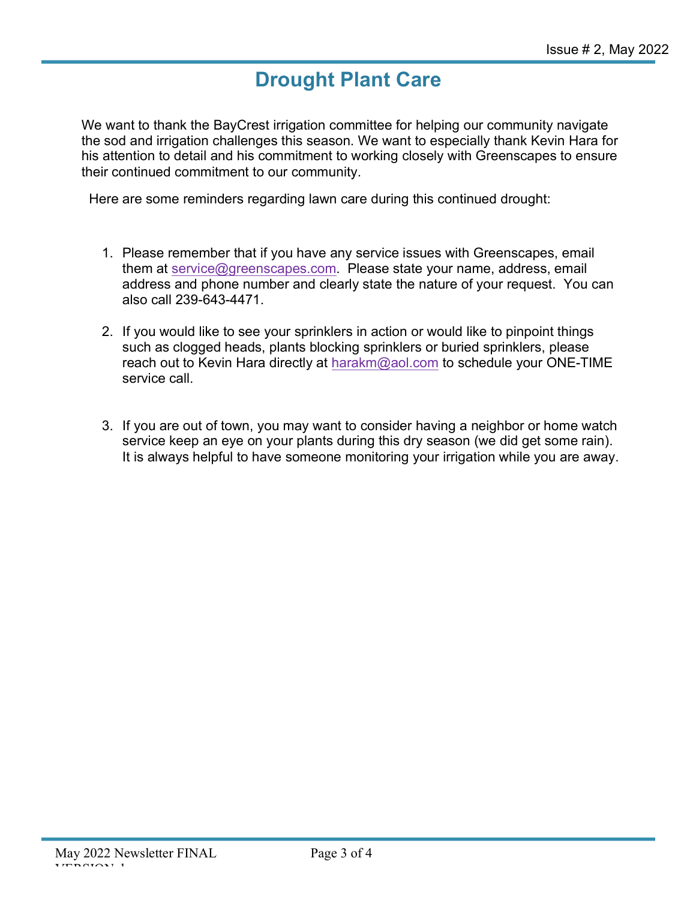# **Drought Plant Care**

We want to thank the BayCrest irrigation committee for helping our community navigate the sod and irrigation challenges this season. We want to especially thank Kevin Hara for his attention to detail and his commitment to working closely with Greenscapes to ensure their continued commitment to our community.

Here are some reminders regarding lawn care during this continued drought:

- 1. Please remember that if you have any service issues with Greenscapes, email them at service@greenscapes.com. Please state your name, address, email address and phone number and clearly state the nature of your request. You can also call 239-643-4471.
- 2. If you would like to see your sprinklers in action or would like to pinpoint things such as clogged heads, plants blocking sprinklers or buried sprinklers, please reach out to Kevin Hara directly at harakm@aol.com to schedule your ONE-TIME service call.
- 3. If you are out of town, you may want to consider having a neighbor or home watch service keep an eye on your plants during this dry season (we did get some rain). It is always helpful to have someone monitoring your irrigation while you are away.